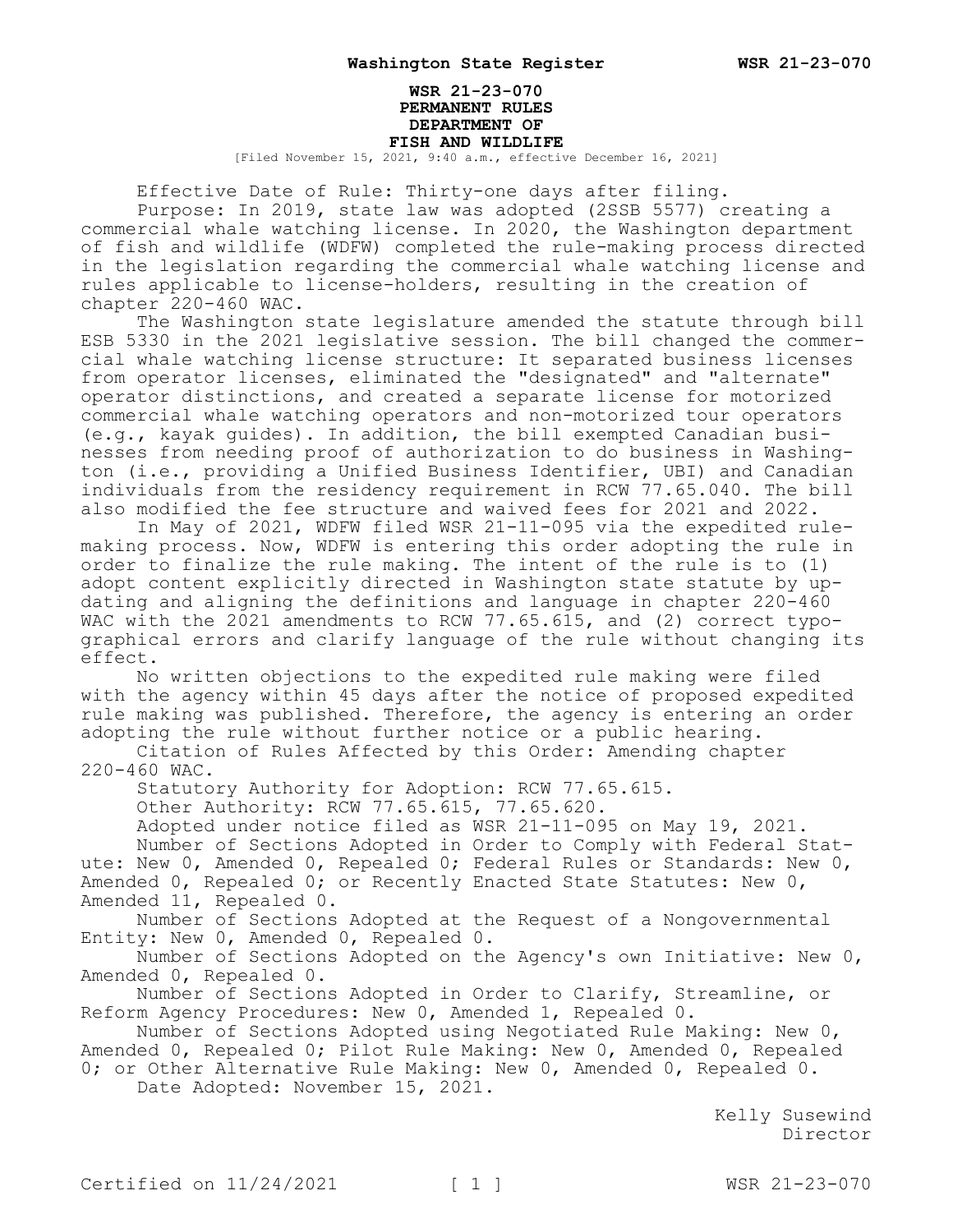## **WSR 21-23-070 PERMANENT RULES DEPARTMENT OF FISH AND WILDLIFE** [Filed November 15, 2021, 9:40 a.m., effective December 16, 2021]

Effective Date of Rule: Thirty-one days after filing.

Purpose: In 2019, state law was adopted (2SSB 5577) creating a commercial whale watching license. In 2020, the Washington department of fish and wildlife (WDFW) completed the rule-making process directed in the legislation regarding the commercial whale watching license and rules applicable to license-holders, resulting in the creation of chapter 220-460 WAC.

The Washington state legislature amended the statute through bill ESB 5330 in the 2021 legislative session. The bill changed the commercial whale watching license structure: It separated business licenses from operator licenses, eliminated the "designated" and "alternate" operator distinctions, and created a separate license for motorized commercial whale watching operators and non-motorized tour operators (e.g., kayak guides). In addition, the bill exempted Canadian businesses from needing proof of authorization to do business in Washington (i.e., providing a Unified Business Identifier, UBI) and Canadian individuals from the residency requirement in RCW 77.65.040. The bill also modified the fee structure and waived fees for 2021 and 2022.

In May of 2021, WDFW filed WSR 21-11-095 via the expedited rulemaking process. Now, WDFW is entering this order adopting the rule in order to finalize the rule making. The intent of the rule is to (1) adopt content explicitly directed in Washington state statute by updating and aligning the definitions and language in chapter 220-460 WAC with the 2021 amendments to RCW 77.65.615, and (2) correct typographical errors and clarify language of the rule without changing its effect.

No written objections to the expedited rule making were filed with the agency within 45 days after the notice of proposed expedited rule making was published. Therefore, the agency is entering an order adopting the rule without further notice or a public hearing.

Citation of Rules Affected by this Order: Amending chapter 220-460 WAC.

Statutory Authority for Adoption: RCW 77.65.615.

Other Authority: RCW 77.65.615, 77.65.620.

Adopted under notice filed as WSR 21-11-095 on May 19, 2021. Number of Sections Adopted in Order to Comply with Federal Stat-

ute: New 0, Amended 0, Repealed 0; Federal Rules or Standards: New 0, Amended 0, Repealed 0; or Recently Enacted State Statutes: New 0, Amended 11, Repealed 0.

Number of Sections Adopted at the Request of a Nongovernmental Entity: New 0, Amended 0, Repealed 0.

Number of Sections Adopted on the Agency's own Initiative: New 0, Amended 0, Repealed 0.

Number of Sections Adopted in Order to Clarify, Streamline, or Reform Agency Procedures: New 0, Amended 1, Repealed 0.

Number of Sections Adopted using Negotiated Rule Making: New 0, Amended 0, Repealed 0; Pilot Rule Making: New 0, Amended 0, Repealed

0; or Other Alternative Rule Making: New 0, Amended 0, Repealed 0. Date Adopted: November 15, 2021.

> Kelly Susewind Director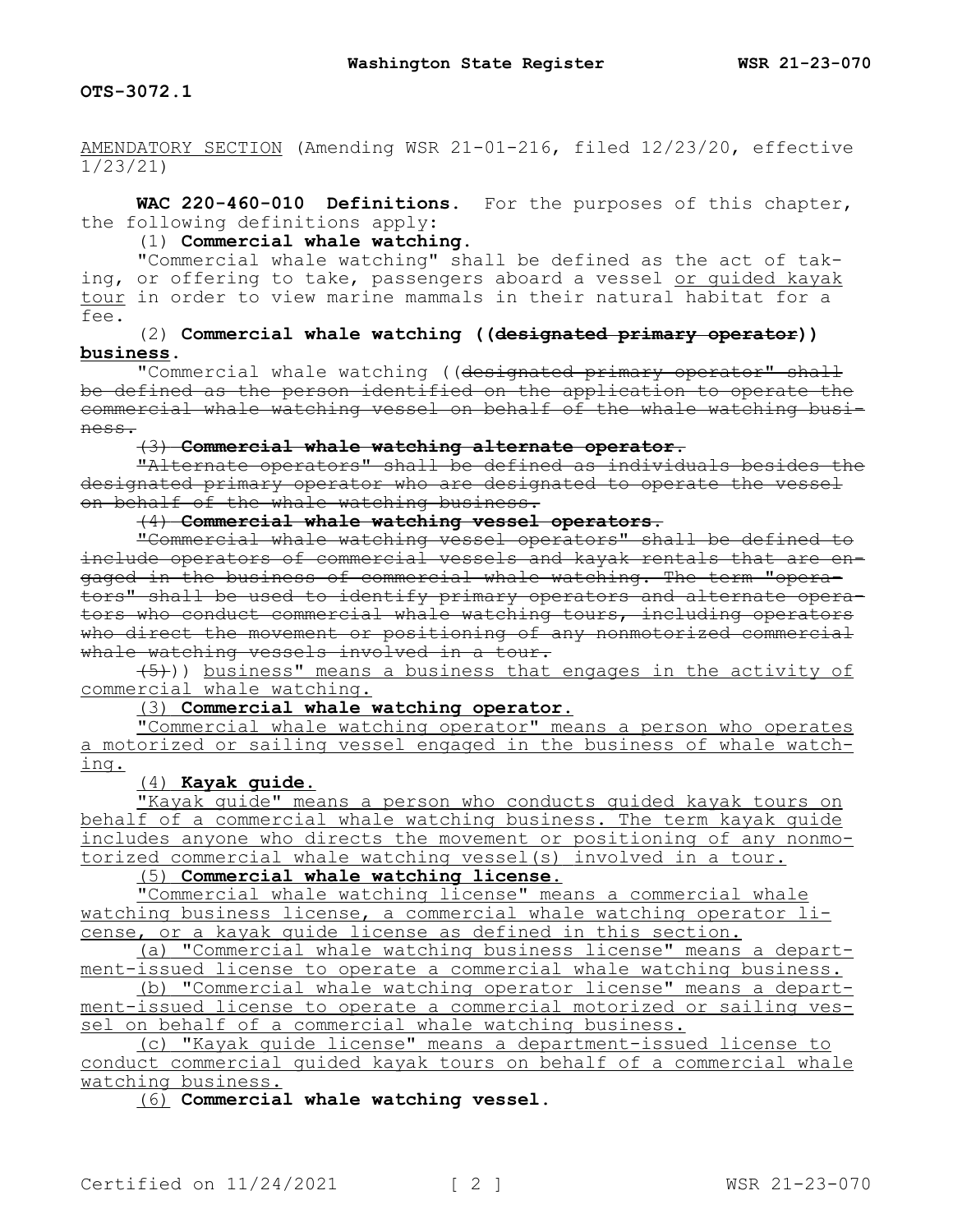## **OTS-3072.1**

AMENDATORY SECTION (Amending WSR 21-01-216, filed 12/23/20, effective 1/23/21)

WAC 220-460-010 Definitions. For the purposes of this chapter, the following definitions apply:

## (1) **Commercial whale watching.**

"Commercial whale watching" shall be defined as the act of taking, or offering to take, passengers aboard a vessel or guided kayak tour in order to view marine mammals in their natural habitat for a fee.

(2) **Commercial whale watching ((designated primary operator)) business.**

"Commercial whale watching ((designated primary operator" shall be defined as the person identified on the application to operate the commercial whale watching vessel on behalf of the whale watching business.

(3) **Commercial whale watching alternate operator.**

"Alternate operators" shall be defined as individuals besides the designated primary operator who are designated to operate the vessel on behalf of the whale watching business.

(4) **Commercial whale watching vessel operators.**

"Commercial whale watching vessel operators" shall be defined to include operators of commercial vessels and kayak rentals that are engaged in the business of commercial whale watching. The term "operators" shall be used to identify primary operators and alternate operators who conduct commercial whale watching tours, including operators who direct the movement or positioning of any nonmotorized commercial whale watching vessels involved in a tour.

 $(5)$ )) business" means a business that engages in the activity of commercial whale watching.

(3) **Commercial whale watching operator.**

"Commercial whale watching operator" means a person who operates a motorized or sailing vessel engaged in the business of whale watching.

(4) **Kayak guide.**

"Kayak guide" means a person who conducts guided kayak tours on behalf of a commercial whale watching business. The term kayak guide includes anyone who directs the movement or positioning of any nonmotorized commercial whale watching vessel(s) involved in a tour.

## (5) **Commercial whale watching license.**

"Commercial whale watching license" means a commercial whale watching business license, a commercial whale watching operator license, or a kayak guide license as defined in this section.

(a) "Commercial whale watching business license" means a department-issued license to operate a commercial whale watching business.

(b) "Commercial whale watching operator license" means a department-issued license to operate a commercial motorized or sailing vessel on behalf of a commercial whale watching business.

(c) "Kayak guide license" means a department-issued license to conduct commercial guided kayak tours on behalf of a commercial whale watching business.

(6) **Commercial whale watching vessel.**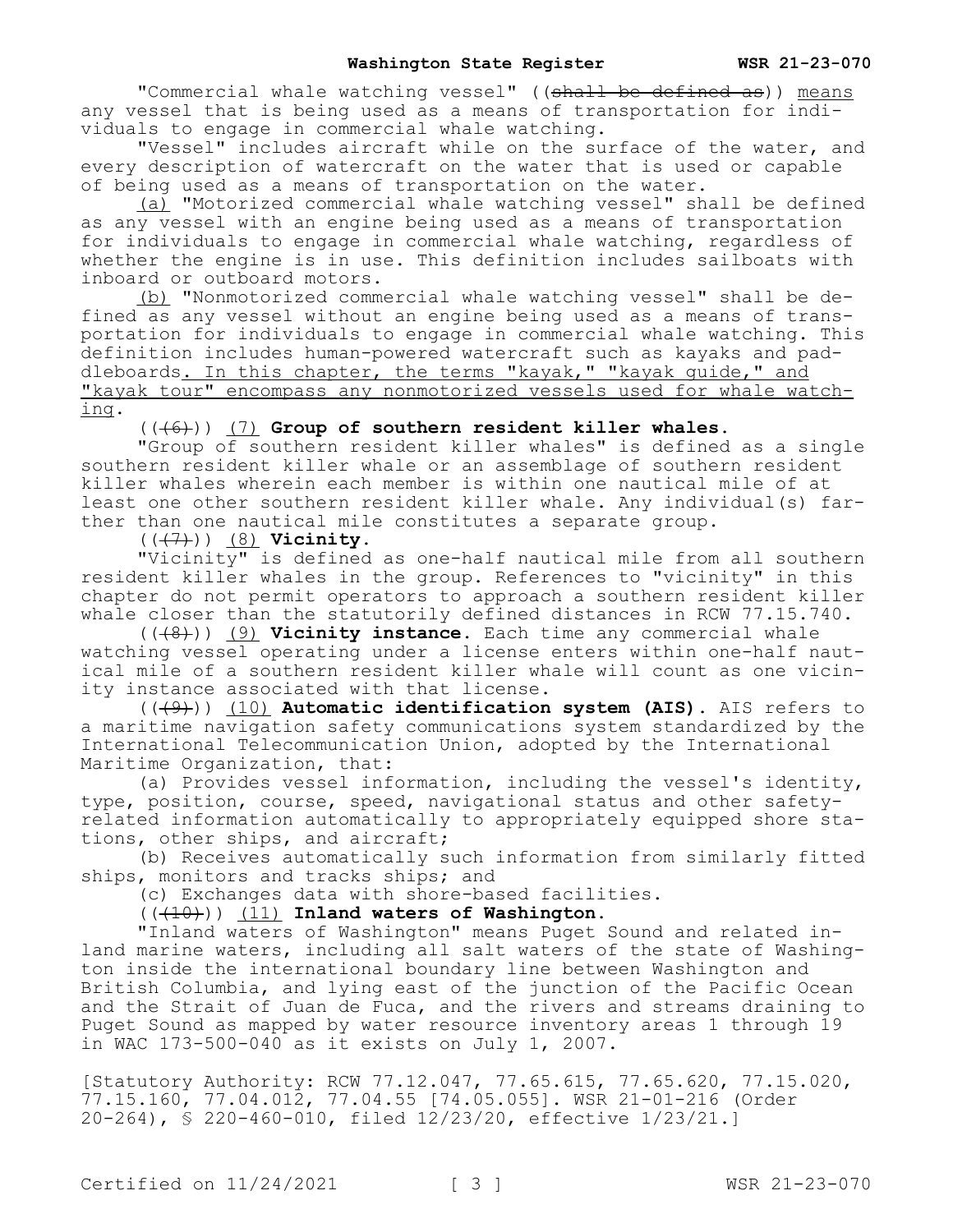"Commercial whale watching vessel" ((shall be defined as)) means any vessel that is being used as a means of transportation for individuals to engage in commercial whale watching.

"Vessel" includes aircraft while on the surface of the water, and every description of watercraft on the water that is used or capable of being used as a means of transportation on the water.

(a) "Motorized commercial whale watching vessel" shall be defined as any vessel with an engine being used as a means of transportation for individuals to engage in commercial whale watching, regardless of whether the engine is in use. This definition includes sailboats with inboard or outboard motors.

(b) "Nonmotorized commercial whale watching vessel" shall be defined as any vessel without an engine being used as a means of transportation for individuals to engage in commercial whale watching. This definition includes human-powered watercraft such as kayaks and paddleboards. In this chapter, the terms "kayak," "kayak guide," and "kayak tour" encompass any nonmotorized vessels used for whale watching.

(((6))) (7) **Group of southern resident killer whales.**

"Group of southern resident killer whales" is defined as a single southern resident killer whale or an assemblage of southern resident killer whales wherein each member is within one nautical mile of at least one other southern resident killer whale. Any individual(s) farther than one nautical mile constitutes a separate group.

 $((\overline{(+7)}))$  (8) Vicinity.

"Vicinity" is defined as one-half nautical mile from all southern resident killer whales in the group. References to "vicinity" in this chapter do not permit operators to approach a southern resident killer whale closer than the statutorily defined distances in RCW 77.15.740.

(((8))) (9) **Vicinity instance.** Each time any commercial whale watching vessel operating under a license enters within one-half nautical mile of a southern resident killer whale will count as one vicinity instance associated with that license.

(((9))) (10) **Automatic identification system (AIS).** AIS refers to a maritime navigation safety communications system standardized by the International Telecommunication Union, adopted by the International Maritime Organization, that:

(a) Provides vessel information, including the vessel's identity, type, position, course, speed, navigational status and other safetyrelated information automatically to appropriately equipped shore stations, other ships, and aircraft;

(b) Receives automatically such information from similarly fitted ships, monitors and tracks ships; and

(c) Exchanges data with shore-based facilities.

(((10))) (11) **Inland waters of Washington.**

"Inland waters of Washington" means Puget Sound and related inland marine waters, including all salt waters of the state of Washington inside the international boundary line between Washington and British Columbia, and lying east of the junction of the Pacific Ocean and the Strait of Juan de Fuca, and the rivers and streams draining to Puget Sound as mapped by water resource inventory areas 1 through 19 in WAC 173-500-040 as it exists on July 1, 2007.

[Statutory Authority: RCW 77.12.047, 77.65.615, 77.65.620, 77.15.020, 77.15.160, 77.04.012, 77.04.55 [74.05.055]. WSR 21-01-216 (Order 20-264), § 220-460-010, filed 12/23/20, effective 1/23/21.]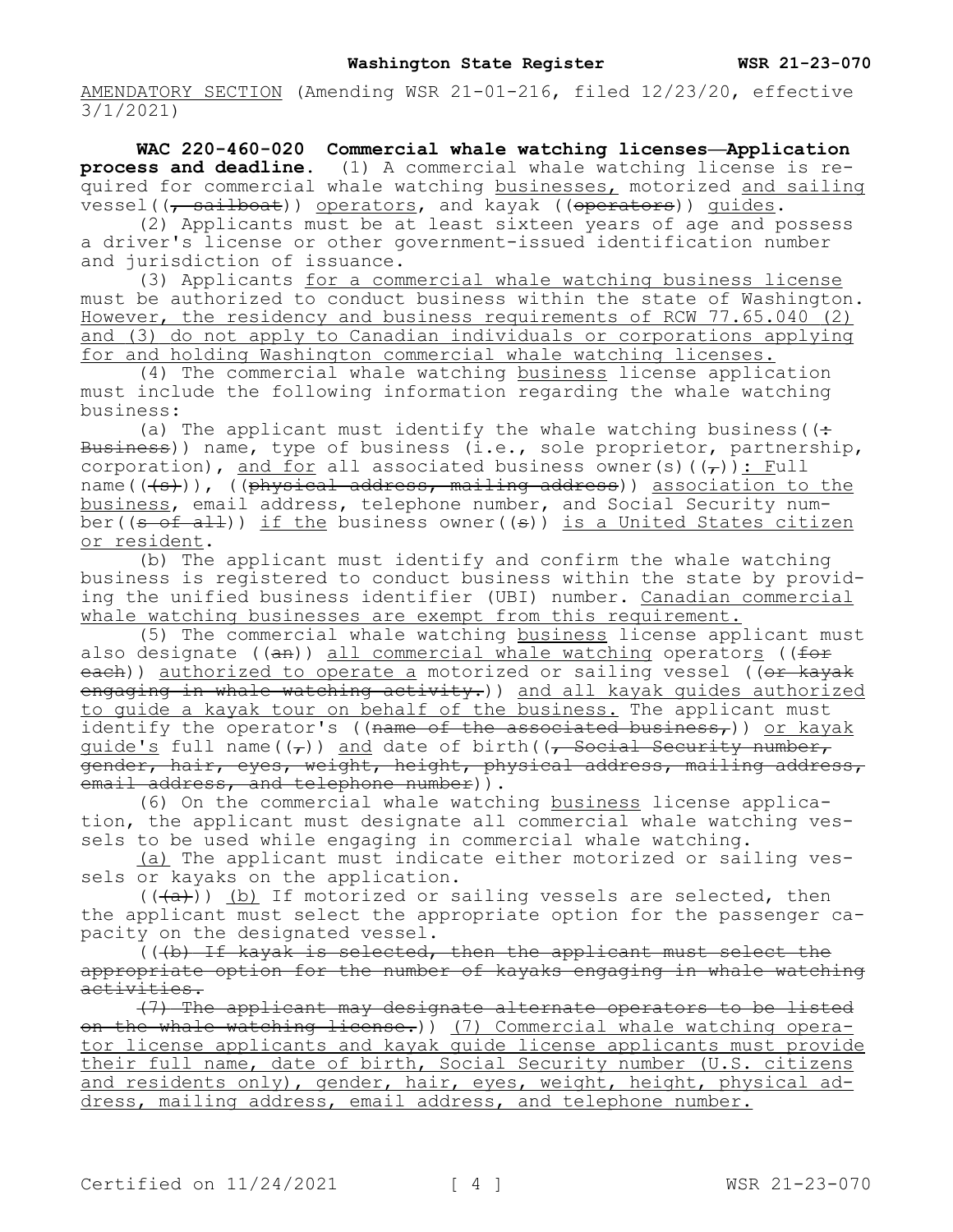AMENDATORY SECTION (Amending WSR 21-01-216, filed 12/23/20, effective 3/1/2021)

**WAC 220-460-020 Commercial whale watching licenses—Application process and deadline.** (1) A commercial whale watching license is required for commercial whale watching businesses, motorized and sailing vessel((, sailboat)) operators, and kayak ((operators)) guides.

(2) Applicants must be at least sixteen years of age and possess a driver's license or other government-issued identification number and jurisdiction of issuance.

(3) Applicants for a commercial whale watching business license must be authorized to conduct business within the state of Washington. However, the residency and business requirements of RCW 77.65.040 (2) and (3) do not apply to Canadian individuals or corporations applying for and holding Washington commercial whale watching licenses.

(4) The commercial whale watching business license application must include the following information regarding the whale watching business:

(a) The applicant must identify the whale watching business ( $(·)$ Business)) name, type of business (i.e., sole proprietor, partnership, corporation), and for all associated business owner(s)( $(\tau)$ ): Full name( $(\langle -\{+}\rangle)$ ), ((physical address, mailing address)) association to the business, email address, telephone number, and Social Security number(( $\frac{1}{3}$  of all)) if the business owner(( $\frac{1}{3}$ ) is a United States citizen or resident.

(b) The applicant must identify and confirm the whale watching business is registered to conduct business within the state by providing the unified business identifier (UBI) number. Canadian commercial whale watching businesses are exempt from this requirement.

(5) The commercial whale watching business license applicant must also designate ((an)) all commercial whale watching operators ((for each)) authorized to operate a motorized or sailing vessel ((or kayak engaging in whale watching activity.) and all kayak guides authorized to guide a kayak tour on behalf of the business. The applicant must identify the operator's ((name of the associated business,)) or kayak guide's full name( $(\tau)$ ) and date of birth( $\tau$  Social Security number, gender, hair, eyes, weight, height, physical address, mailing address, email address, and telephone number)).

(6) On the commercial whale watching business license application, the applicant must designate all commercial whale watching vessels to be used while engaging in commercial whale watching.

(a) The applicant must indicate either motorized or sailing vessels or kayaks on the application.

 $((+a))$  (b) If motorized or sailing vessels are selected, then the applicant must select the appropriate option for the passenger capacity on the designated vessel.

(((b) If kayak is selected, then the applicant must select the appropriate option for the number of kayaks engaging in whale watching activities.

(7) The applicant may designate alternate operators to be listed on the whale watching license.)) (7) Commercial whale watching operator license applicants and kayak guide license applicants must provide their full name, date of birth, Social Security number (U.S. citizens and residents only), gender, hair, eyes, weight, height, physical address, mailing address, email address, and telephone number.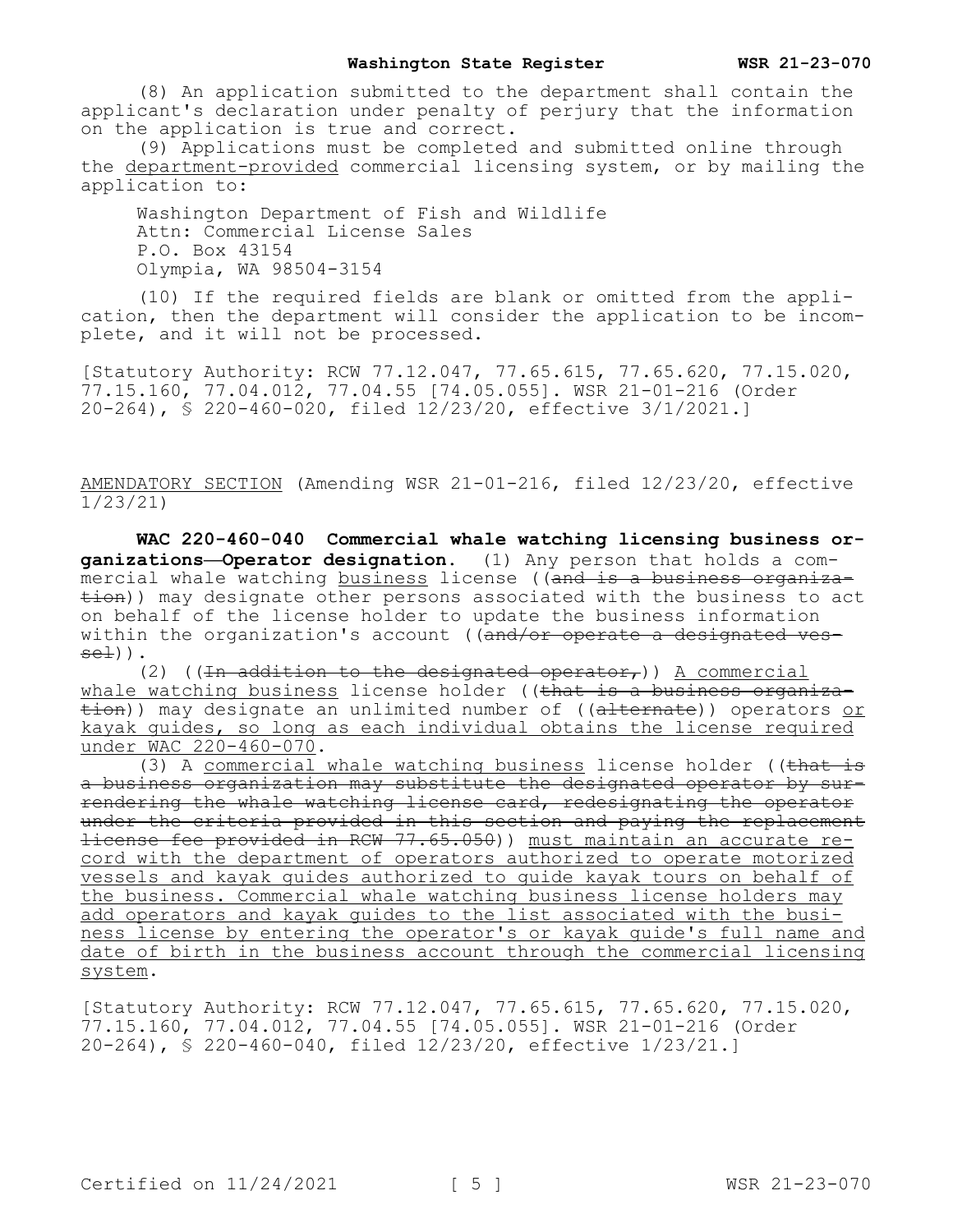(8) An application submitted to the department shall contain the applicant's declaration under penalty of perjury that the information on the application is true and correct.

(9) Applications must be completed and submitted online through the department-provided commercial licensing system, or by mailing the application to:

Washington Department of Fish and Wildlife Attn: Commercial License Sales P.O. Box 43154 Olympia, WA 98504-3154

(10) If the required fields are blank or omitted from the application, then the department will consider the application to be incomplete, and it will not be processed.

[Statutory Authority: RCW 77.12.047, 77.65.615, 77.65.620, 77.15.020, 77.15.160, 77.04.012, 77.04.55 [74.05.055]. WSR 21-01-216 (Order 20-264), § 220-460-020, filed 12/23/20, effective 3/1/2021.]

AMENDATORY SECTION (Amending WSR 21-01-216, filed 12/23/20, effective 1/23/21)

**WAC 220-460-040 Commercial whale watching licensing business organizations—Operator designation.** (1) Any person that holds a commercial whale watching business license ((and is a business organization)) may designate other persons associated with the business to act on behalf of the license holder to update the business information within the organization's account ((and/or operate a designated ves $set)$ ).

(2) ((In addition to the designated operator,)) A commercial whale watching business license holder ((that is a business organization)) may designate an unlimited number of ((alternate)) operators or kayak guides, so long as each individual obtains the license required under WAC 220-460-070.

(3) A commercial whale watching business license holder ((that is a business organization may substitute the designated operator by surrendering the whale watching license card, redesignating the operator under the criteria provided in this section and paying the replacement license fee provided in RCW 77.65.050)) must maintain an accurate record with the department of operators authorized to operate motorized vessels and kayak guides authorized to guide kayak tours on behalf of the business. Commercial whale watching business license holders may add operators and kayak guides to the list associated with the business license by entering the operator's or kayak guide's full name and date of birth in the business account through the commercial licensing system.

[Statutory Authority: RCW 77.12.047, 77.65.615, 77.65.620, 77.15.020, 77.15.160, 77.04.012, 77.04.55 [74.05.055]. WSR 21-01-216 (Order 20-264), § 220-460-040, filed 12/23/20, effective 1/23/21.]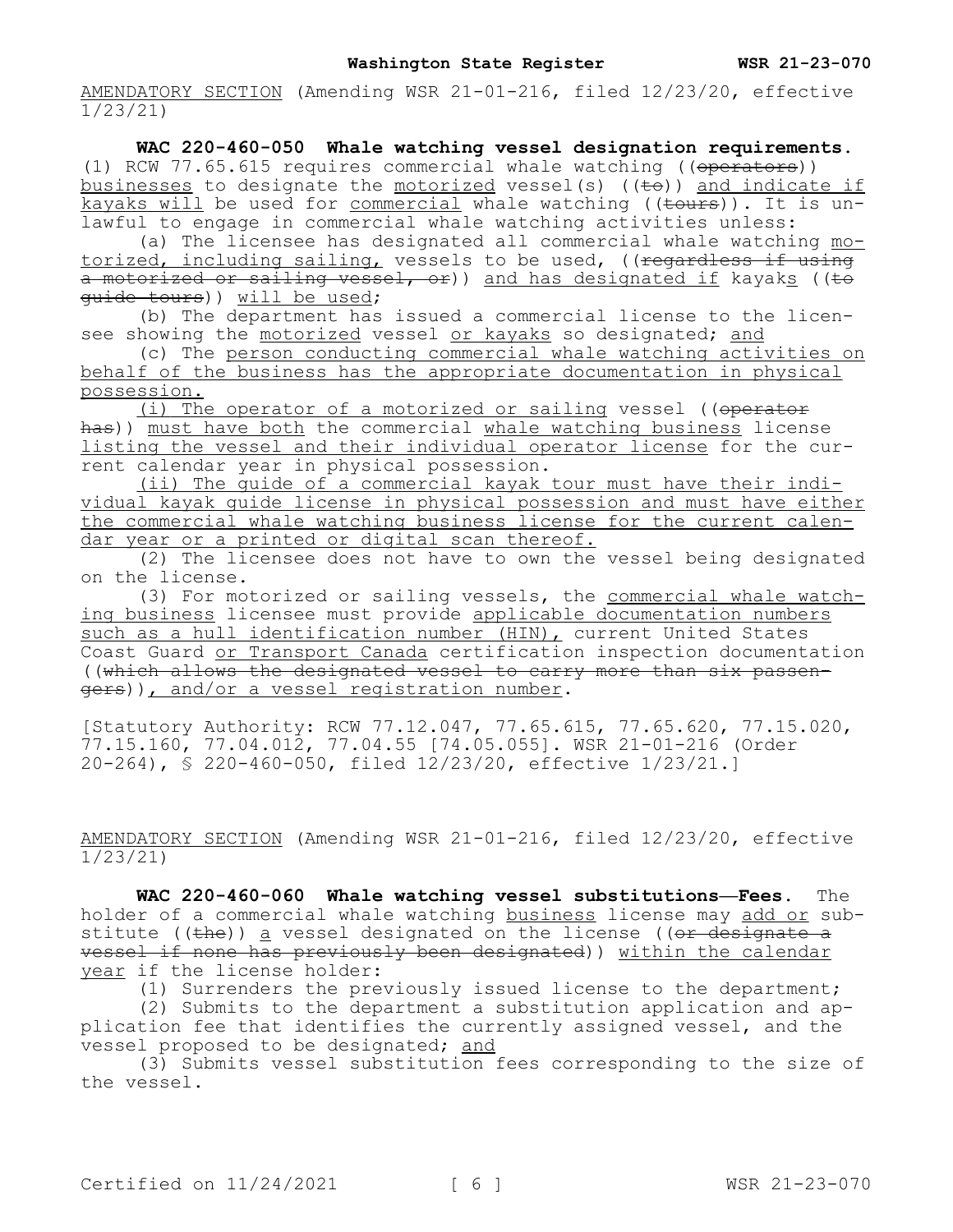AMENDATORY SECTION (Amending WSR 21-01-216, filed 12/23/20, effective 1/23/21)

**WAC 220-460-050 Whale watching vessel designation requirements.**  (1) RCW 77.65.615 requires commercial whale watching ((operators)) businesses to designate the motorized vessel(s) ( $\overline{(te)}$ ) and indicate if kayaks will be used for commercial whale watching ((tours)). It is unlawful to engage in commercial whale watching activities unless:

(a) The licensee has designated all commercial whale watching motorized, including sailing, vessels to be used, ((regardless if using a motorized or sailing vessel, or)) and has designated if kayaks ((to guide tours)) will be used;

(b) The department has issued a commercial license to the licensee showing the motorized vessel or kayaks so designated; and

(c) The person conducting commercial whale watching activities on behalf of the business has the appropriate documentation in physical possession.

(i) The operator of a motorized or sailing vessel ((operator has)) must have both the commercial whale watching business license listing the vessel and their individual operator license for the current calendar year in physical possession.

(ii) The guide of a commercial kayak tour must have their individual kayak guide license in physical possession and must have either the commercial whale watching business license for the current calendar year or a printed or digital scan thereof.

(2) The licensee does not have to own the vessel being designated on the license.

(3) For motorized or sailing vessels, the commercial whale watching business licensee must provide applicable documentation numbers such as a hull identification number (HIN), current United States Coast Guard or Transport Canada certification inspection documentation ((which allows the designated vessel to carry more than six passengers)), and/or a vessel registration number.

[Statutory Authority: RCW 77.12.047, 77.65.615, 77.65.620, 77.15.020, 77.15.160, 77.04.012, 77.04.55 [74.05.055]. WSR 21-01-216 (Order 20-264), § 220-460-050, filed 12/23/20, effective 1/23/21.]

AMENDATORY SECTION (Amending WSR 21-01-216, filed 12/23/20, effective  $1/23/21$ 

**WAC 220-460-060 Whale watching vessel substitutions—Fees.** The holder of a commercial whale watching business license may add or substitute (( $the$ )) a vessel designated on the license (( $o~~r~~$  designate a vessel if none has previously been designated)) within the calendar year if the license holder:

(1) Surrenders the previously issued license to the department;

(2) Submits to the department a substitution application and application fee that identifies the currently assigned vessel, and the vessel proposed to be designated; and

(3) Submits vessel substitution fees corresponding to the size of the vessel.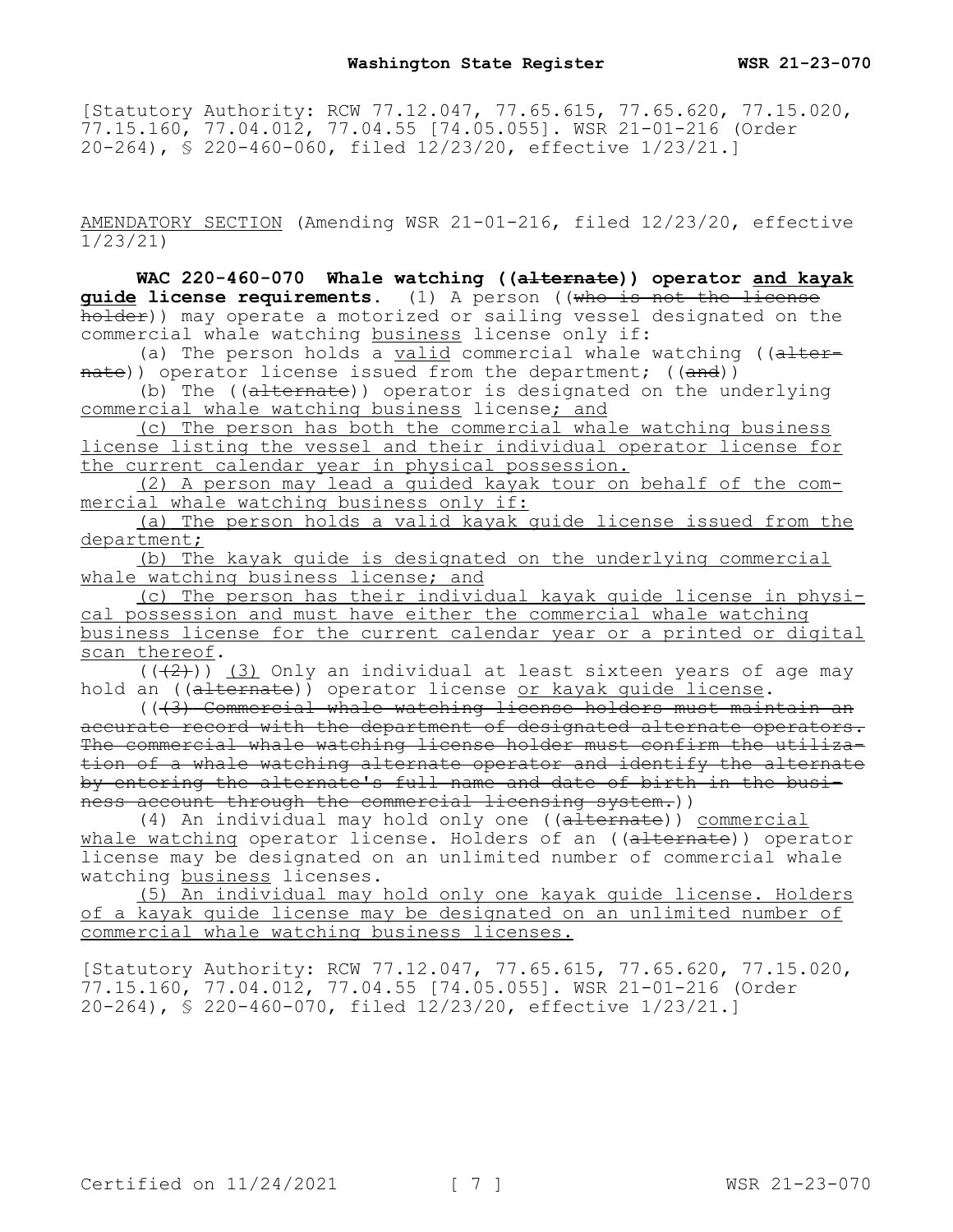[Statutory Authority: RCW 77.12.047, 77.65.615, 77.65.620, 77.15.020, 77.15.160, 77.04.012, 77.04.55 [74.05.055]. WSR 21-01-216 (Order 20-264), § 220-460-060, filed 12/23/20, effective 1/23/21.]

AMENDATORY SECTION (Amending WSR 21-01-216, filed 12/23/20, effective  $1/23/21$ 

**WAC 220-460-070 Whale watching ((alternate)) operator and kayak guide license requirements.** (1) A person ((who is not the license holder)) may operate a motorized or sailing vessel designated on the commercial whale watching business license only if:

(a) The person holds a valid commercial whale watching ((alter $nate)$ ) operator license issued from the department; ((and))

(b) The ((alternate)) operator is designated on the underlying commercial whale watching business license; and

(c) The person has both the commercial whale watching business license listing the vessel and their individual operator license for the current calendar year in physical possession.

(2) A person may lead a guided kayak tour on behalf of the commercial whale watching business only if:

(a) The person holds a valid kayak guide license issued from the department;

(b) The kayak guide is designated on the underlying commercial whale watching business license; and

(c) The person has their individual kayak guide license in physical possession and must have either the commercial whale watching business license for the current calendar year or a printed or digital scan thereof.

 $((+2+))$  (3) Only an individual at least sixteen years of age may hold an ((alternate)) operator license or kayak guide license.

(((3) Commercial whale watching license holders must maintain an accurate record with the department of designated alternate operators. The commercial whale watching license holder must confirm the utilization of a whale watching alternate operator and identify the alternate by entering the alternate's full name and date of birth in the business account through the commercial licensing system.))

(4) An individual may hold only one ((alternate)) commercial whale watching operator license. Holders of an ((alternate)) operator license may be designated on an unlimited number of commercial whale watching business licenses.

(5) An individual may hold only one kayak guide license. Holders of a kayak guide license may be designated on an unlimited number of commercial whale watching business licenses.

[Statutory Authority: RCW 77.12.047, 77.65.615, 77.65.620, 77.15.020, 77.15.160, 77.04.012, 77.04.55 [74.05.055]. WSR 21-01-216 (Order 20-264), § 220-460-070, filed 12/23/20, effective 1/23/21.]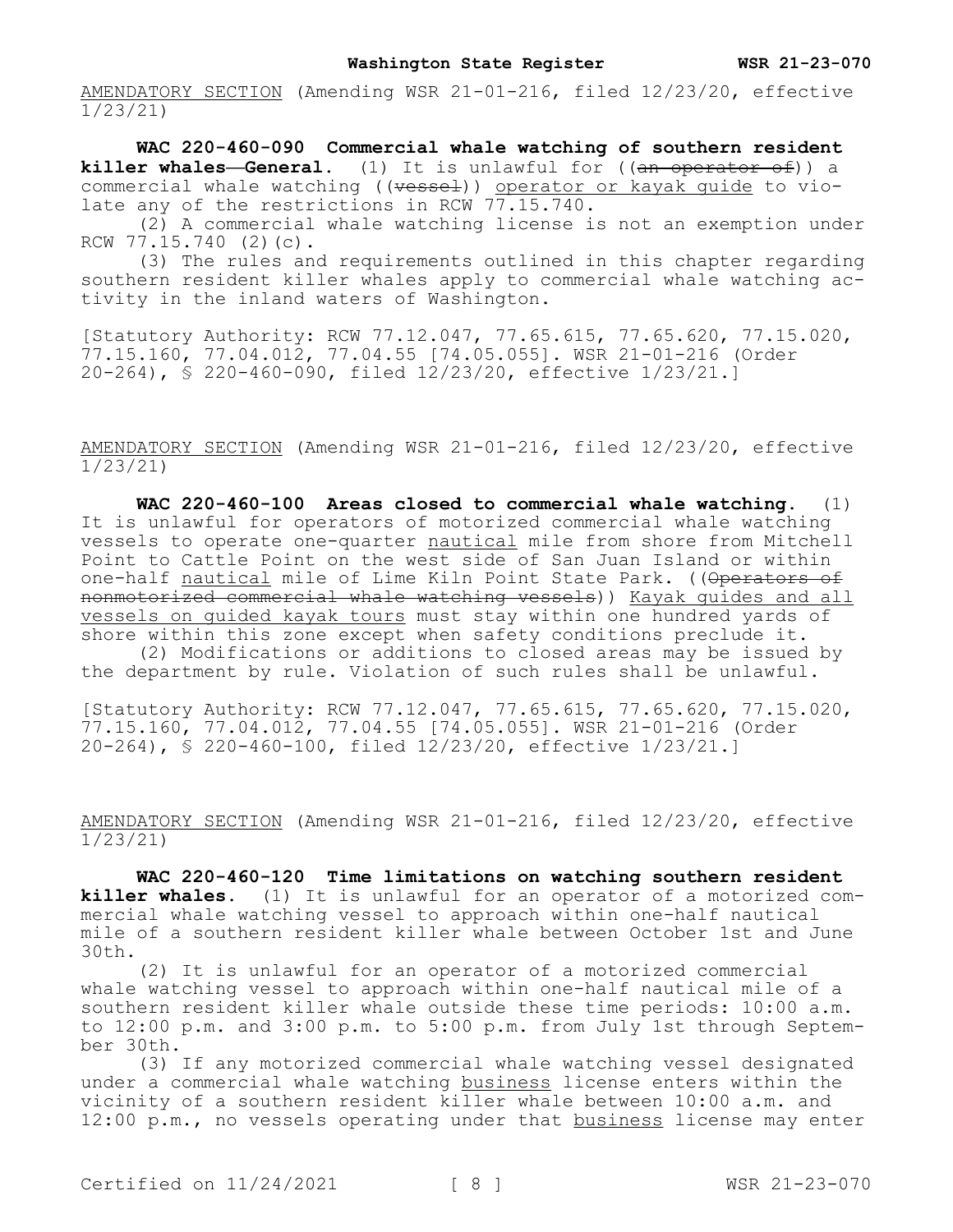AMENDATORY SECTION (Amending WSR 21-01-216, filed 12/23/20, effective 1/23/21)

**WAC 220-460-090 Commercial whale watching of southern resident killer whales–General.** (1) It is unlawful for ((an operator of)) a commercial whale watching ((vessel)) operator or kayak guide to violate any of the restrictions in RCW 77.15.740.

(2) A commercial whale watching license is not an exemption under RCW 77.15.740 (2)(c).

(3) The rules and requirements outlined in this chapter regarding southern resident killer whales apply to commercial whale watching activity in the inland waters of Washington.

[Statutory Authority: RCW 77.12.047, 77.65.615, 77.65.620, 77.15.020, 77.15.160, 77.04.012, 77.04.55 [74.05.055]. WSR 21-01-216 (Order 20-264), § 220-460-090, filed 12/23/20, effective 1/23/21.]

AMENDATORY SECTION (Amending WSR 21-01-216, filed 12/23/20, effective 1/23/21)

**WAC 220-460-100 Areas closed to commercial whale watching.** (1) It is unlawful for operators of motorized commercial whale watching vessels to operate one-quarter nautical mile from shore from Mitchell Point to Cattle Point on the west side of San Juan Island or within one-half nautical mile of Lime Kiln Point State Park. ((Operators of nonmotorized commercial whale watching vessels)) Kayak guides and all vessels on guided kayak tours must stay within one hundred yards of shore within this zone except when safety conditions preclude it.

(2) Modifications or additions to closed areas may be issued by the department by rule. Violation of such rules shall be unlawful.

[Statutory Authority: RCW 77.12.047, 77.65.615, 77.65.620, 77.15.020, 77.15.160, 77.04.012, 77.04.55 [74.05.055]. WSR 21-01-216 (Order 20-264), § 220-460-100, filed 12/23/20, effective 1/23/21.]

AMENDATORY SECTION (Amending WSR 21-01-216, filed 12/23/20, effective 1/23/21)

**WAC 220-460-120 Time limitations on watching southern resident killer whales.** (1) It is unlawful for an operator of a motorized commercial whale watching vessel to approach within one-half nautical mile of a southern resident killer whale between October 1st and June 30th.

(2) It is unlawful for an operator of a motorized commercial whale watching vessel to approach within one-half nautical mile of a southern resident killer whale outside these time periods: 10:00 a.m. to 12:00 p.m. and 3:00 p.m. to 5:00 p.m. from July 1st through September 30th.

(3) If any motorized commercial whale watching vessel designated under a commercial whale watching business license enters within the vicinity of a southern resident killer whale between 10:00 a.m. and 12:00 p.m., no vessels operating under that business license may enter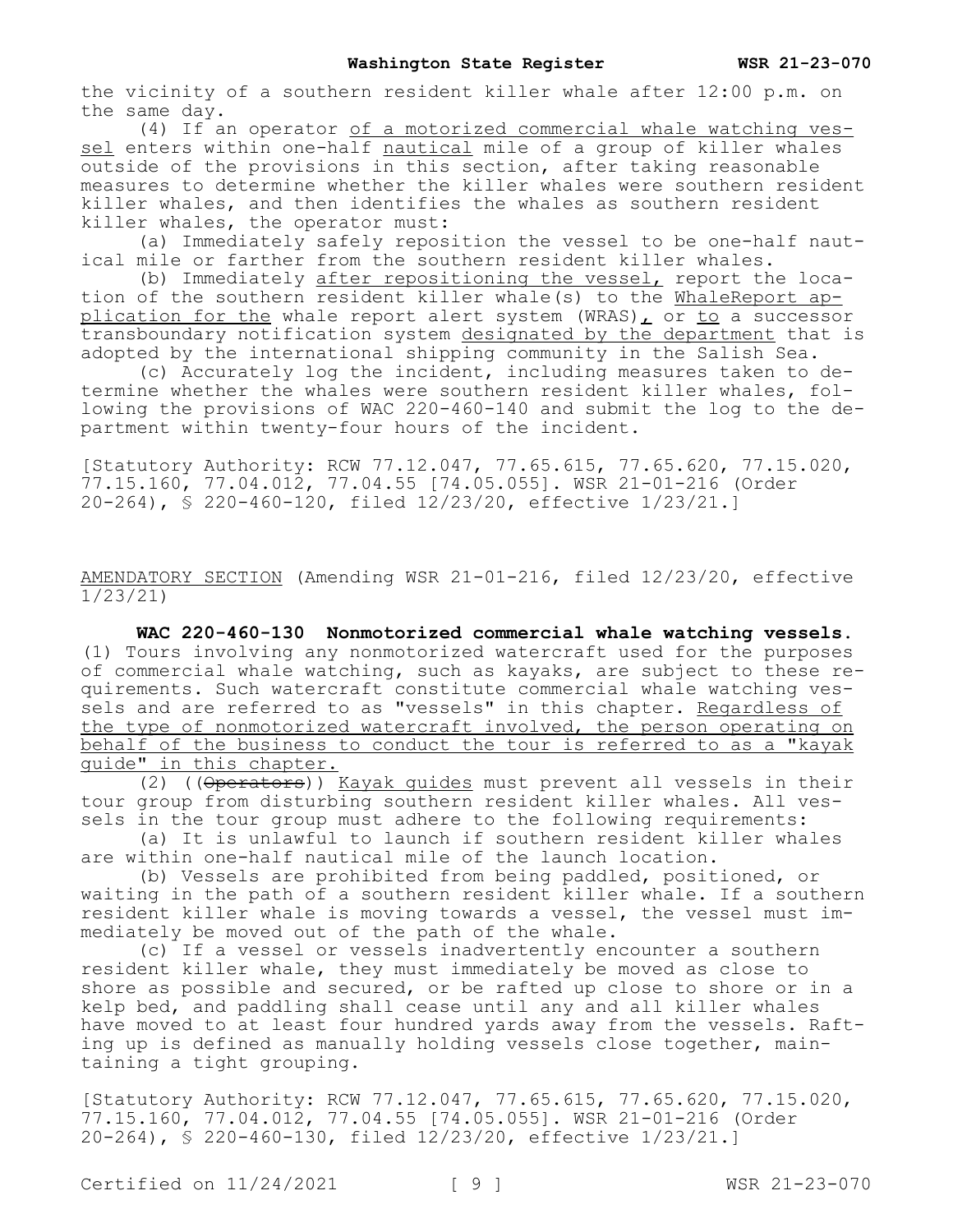the vicinity of a southern resident killer whale after 12:00 p.m. on the same day.

(4) If an operator of a motorized commercial whale watching vessel enters within one-half nautical mile of a group of killer whales outside of the provisions in this section, after taking reasonable measures to determine whether the killer whales were southern resident killer whales, and then identifies the whales as southern resident killer whales, the operator must:

(a) Immediately safely reposition the vessel to be one-half nautical mile or farther from the southern resident killer whales.

(b) Immediately after repositioning the vessel, report the location of the southern resident killer whale(s) to the WhaleReport application for the whale report alert system (WRAS), or to a successor transboundary notification system designated by the department that is adopted by the international shipping community in the Salish Sea.

(c) Accurately log the incident, including measures taken to determine whether the whales were southern resident killer whales, following the provisions of WAC 220-460-140 and submit the log to the department within twenty-four hours of the incident.

[Statutory Authority: RCW 77.12.047, 77.65.615, 77.65.620, 77.15.020, 77.15.160, 77.04.012, 77.04.55 [74.05.055]. WSR 21-01-216 (Order 20-264), § 220-460-120, filed 12/23/20, effective 1/23/21.]

AMENDATORY SECTION (Amending WSR 21-01-216, filed 12/23/20, effective 1/23/21)

**WAC 220-460-130 Nonmotorized commercial whale watching vessels.**  (1) Tours involving any nonmotorized watercraft used for the purposes of commercial whale watching, such as kayaks, are subject to these requirements. Such watercraft constitute commercial whale watching vessels and are referred to as "vessels" in this chapter. Regardless of the type of nonmotorized watercraft involved, the person operating on behalf of the business to conduct the tour is referred to as a "kayak guide" in this chapter.

(2) (( $\theta$ perators)) Kayak quides must prevent all vessels in their tour group from disturbing southern resident killer whales. All vessels in the tour group must adhere to the following requirements:

(a) It is unlawful to launch if southern resident killer whales are within one-half nautical mile of the launch location.

(b) Vessels are prohibited from being paddled, positioned, or waiting in the path of a southern resident killer whale. If a southern resident killer whale is moving towards a vessel, the vessel must immediately be moved out of the path of the whale.

(c) If a vessel or vessels inadvertently encounter a southern resident killer whale, they must immediately be moved as close to shore as possible and secured, or be rafted up close to shore or in a kelp bed, and paddling shall cease until any and all killer whales have moved to at least four hundred yards away from the vessels. Rafting up is defined as manually holding vessels close together, maintaining a tight grouping.

[Statutory Authority: RCW 77.12.047, 77.65.615, 77.65.620, 77.15.020, 77.15.160, 77.04.012, 77.04.55 [74.05.055]. WSR 21-01-216 (Order 20-264), § 220-460-130, filed 12/23/20, effective 1/23/21.]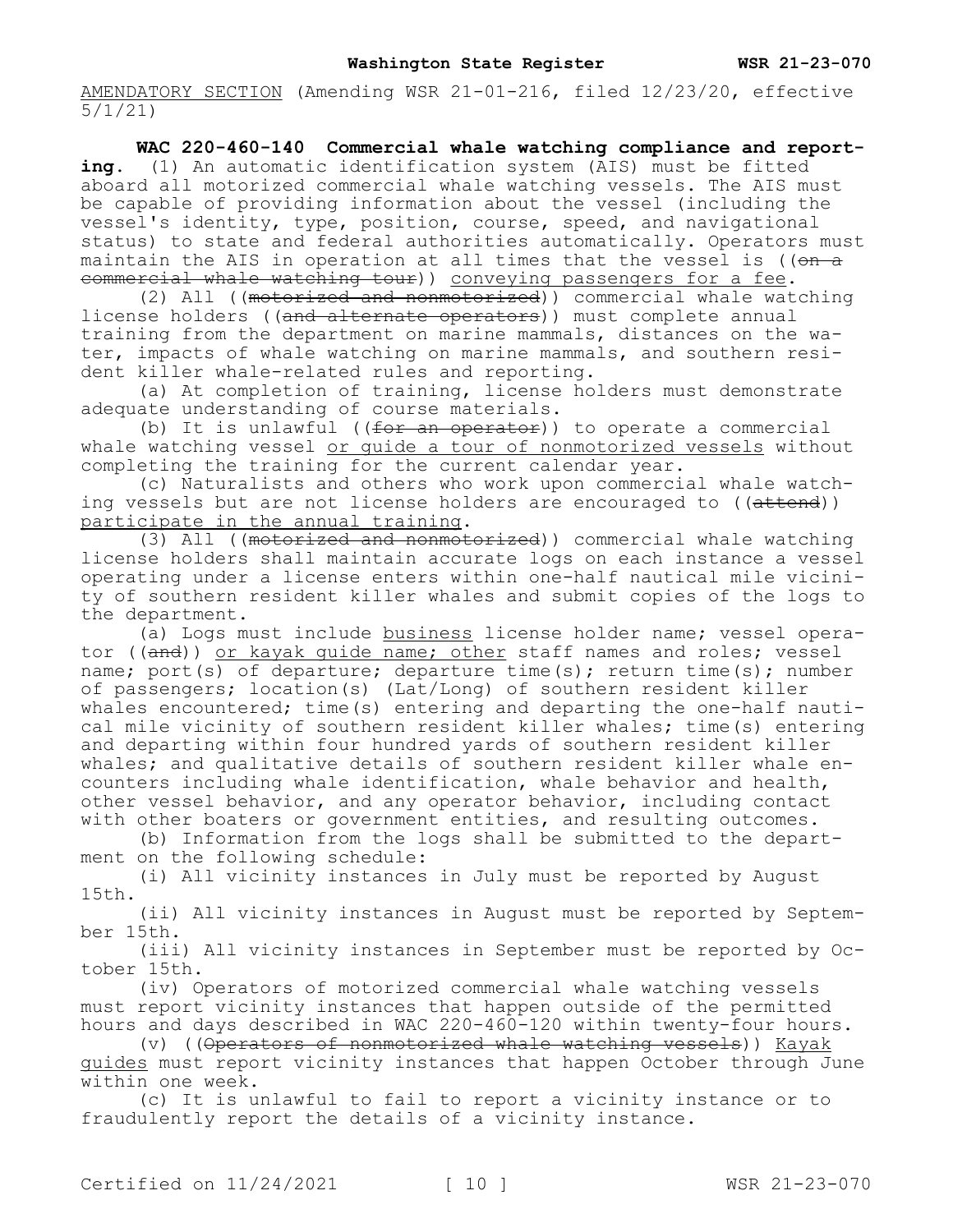AMENDATORY SECTION (Amending WSR 21-01-216, filed 12/23/20, effective 5/1/21)

**WAC 220-460-140 Commercial whale watching compliance and reporting.** (1) An automatic identification system (AIS) must be fitted aboard all motorized commercial whale watching vessels. The AIS must be capable of providing information about the vessel (including the vessel's identity, type, position, course, speed, and navigational status) to state and federal authorities automatically. Operators must maintain the AIS in operation at all times that the vessel is  $(6n - a)$ commercial whale watching tour)) conveying passengers for a fee.

(2) All ((motorized and nonmotorized)) commercial whale watching license holders ((and alternate operators)) must complete annual training from the department on marine mammals, distances on the water, impacts of whale watching on marine mammals, and southern resident killer whale-related rules and reporting.

(a) At completion of training, license holders must demonstrate adequate understanding of course materials.

(b) It is unlawful ( $(for an operator)$ ) to operate a commercial whale watching vessel or guide a tour of nonmotorized vessels without completing the training for the current calendar year.

(c) Naturalists and others who work upon commercial whale watching vessels but are not license holders are encouraged to ((attend)) participate in the annual training.

(3) All ((motorized and nonmotorized)) commercial whale watching license holders shall maintain accurate logs on each instance a vessel operating under a license enters within one-half nautical mile vicinity of southern resident killer whales and submit copies of the logs to the department.

(a) Logs must include business license holder name; vessel operator ((and)) or kayak quide name; other staff names and roles; vessel name; port(s) of departure; departure time(s); return time(s); number of passengers; location(s) (Lat/Long) of southern resident killer whales encountered; time(s) entering and departing the one-half nautical mile vicinity of southern resident killer whales; time(s) entering and departing within four hundred yards of southern resident killer whales; and qualitative details of southern resident killer whale encounters including whale identification, whale behavior and health, other vessel behavior, and any operator behavior, including contact with other boaters or government entities, and resulting outcomes.

(b) Information from the logs shall be submitted to the department on the following schedule:

(i) All vicinity instances in July must be reported by August 15th.

(ii) All vicinity instances in August must be reported by September 15th.

(iii) All vicinity instances in September must be reported by October 15th.

(iv) Operators of motorized commercial whale watching vessels must report vicinity instances that happen outside of the permitted hours and days described in WAC 220-460-120 within twenty-four hours.

(v) ((Operators of nonmotorized whale watching vessels)) Kayak guides must report vicinity instances that happen October through June within one week.

(c) It is unlawful to fail to report a vicinity instance or to fraudulently report the details of a vicinity instance.